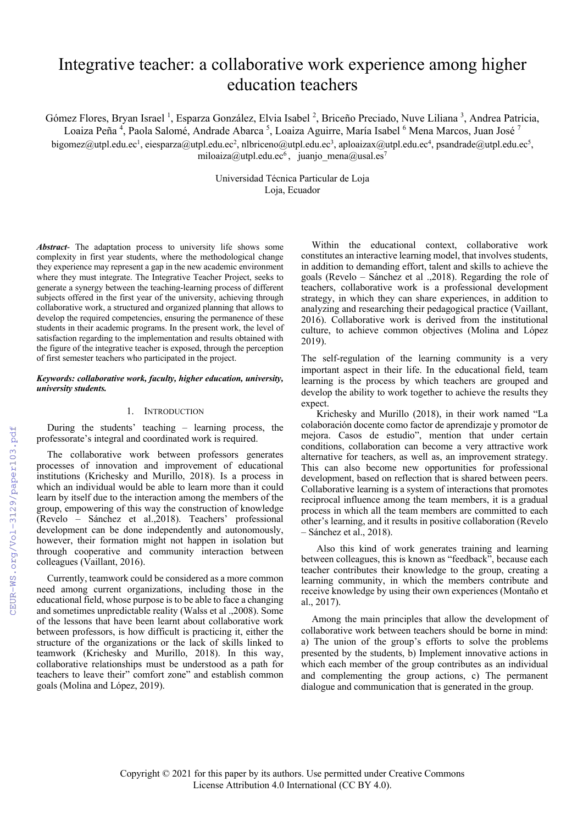# Integrative teacher: a collaborative work experience among higher education teachers

Gómez Flores, Bryan Israel<sup>1</sup>, Esparza González, Elvia Isabel<sup>2</sup>, Briceño Preciado, Nuve Liliana<sup>3</sup>, Andrea Patricia,

Loaiza Peña <sup>4</sup>, Paola Salomé, Andrade Abarca <sup>5</sup>, Loaiza Aguirre, María Isabel <sup>6</sup> Mena Marcos, Juan José <sup>7</sup>

bigomez@utpl.edu.ec<sup>1</sup>, eiesparza@utpl.edu.ec<sup>2</sup>, nlbriceno@utpl.edu.ec<sup>3</sup>, aploaizax@utpl.edu.ec<sup>4</sup>, psandrade@utpl.edu.ec<sup>5</sup>, miloaiza@utpl.edu.ec<sup>6</sup>, juanjo mena@usal.es<sup>7</sup>

> Universidad Técnica Particular de Loja Loja, Ecuador

*Abstract*- The adaptation process to university life shows some complexity in first year students, where the methodological change they experience may represent a gap in the new academic environment where they must integrate. The Integrative Teacher Project, seeks to generate a synergy between the teaching-learning process of different subjects offered in the first year of the university, achieving through collaborative work, a structured and organized planning that allows to develop the required competencies, ensuring the permanence of these students in their academic programs. In the present work, the level of satisfaction regarding to the implementation and results obtained with the figure of the integrative teacher is exposed, through the perception of first semester teachers who participated in the project.

## *Keywords: collaborative work, faculty, higher education, university, university students.*

# 1. INTRODUCTION

During the students' teaching – learning process, the professorate's integral and coordinated work is required.

The collaborative work between professors generates processes of innovation and improvement of educational institutions (Krichesky and Murillo, 2018). Is a process in which an individual would be able to learn more than it could learn by itself due to the interaction among the members of the group, empowering of this way the construction of knowledge (Revelo – Sánchez et al.,2018). Teachers' professional development can be done independently and autonomously, however, their formation might not happen in isolation but through cooperative and community interaction between colleagues (Vaillant, 2016).

Currently, teamwork could be considered as a more common need among current organizations, including those in the educational field, whose purpose is to be able to face a changing and sometimes unpredictable reality (Walss et al .,2008). Some of the lessons that have been learnt about collaborative work between professors, is how difficult is practicing it, either the structure of the organizations or the lack of skills linked to teamwork (Krichesky and Murillo, 2018). In this way, collaborative relationships must be understood as a path for teachers to leave their" comfort zone" and establish common goals (Molina and López, 2019).

Within the educational context, collaborative work constitutes an interactive learning model, that involves students, in addition to demanding effort, talent and skills to achieve the goals (Revelo – Sánchez et al .,2018). Regarding the role of teachers, collaborative work is a professional development strategy, in which they can share experiences, in addition to analyzing and researching their pedagogical practice (Vaillant, 2016). Collaborative work is derived from the institutional culture, to achieve common objectives (Molina and López 2019).

The self-regulation of the learning community is a very important aspect in their life. In the educational field, team learning is the process by which teachers are grouped and develop the ability to work together to achieve the results they expect.

 Krichesky and Murillo (2018), in their work named "La colaboración docente como factor de aprendizaje y promotor de mejora. Casos de estudio", mention that under certain conditions, collaboration can become a very attractive work alternative for teachers, as well as, an improvement strategy. This can also become new opportunities for professional development, based on reflection that is shared between peers. Collaborative learning is a system of interactions that promotes reciprocal influence among the team members, it is a gradual process in which all the team members are committed to each other's learning, and it results in positive collaboration (Revelo – Sánchez et al., 2018).

 Also this kind of work generates training and learning between colleagues, this is known as "feedback", because each teacher contributes their knowledge to the group, creating a learning community, in which the members contribute and receive knowledge by using their own experiences (Montaño et al., 2017).

Among the main principles that allow the development of collaborative work between teachers should be borne in mind: a) The union of the group's efforts to solve the problems presented by the students, b) Implement innovative actions in which each member of the group contributes as an individual and complementing the group actions, c) The permanent dialogue and communication that is generated in the group.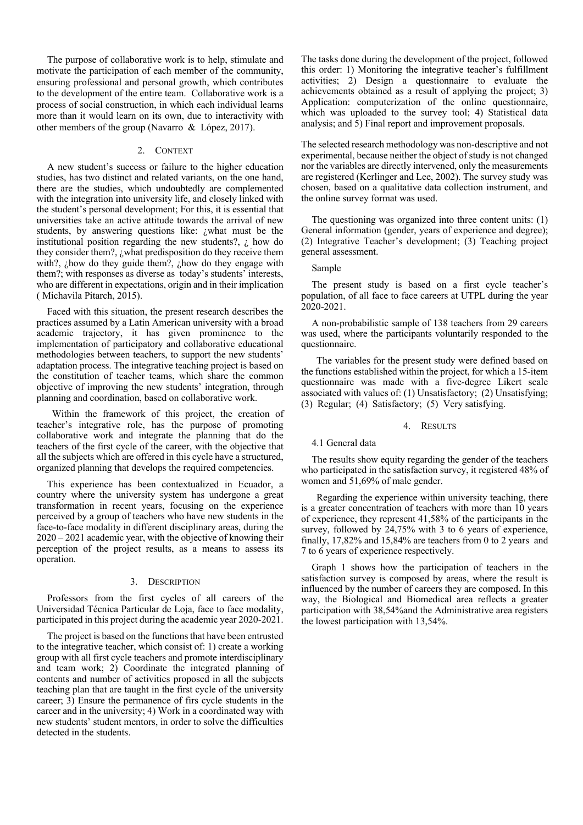The purpose of collaborative work is to help, stimulate and motivate the participation of each member of the community, ensuring professional and personal growth, which contributes to the development of the entire team. Collaborative work is a process of social construction, in which each individual learns more than it would learn on its own, due to interactivity with other members of the group (Navarro & López, 2017).

## 2. CONTEXT

A new student's success or failure to the higher education studies, has two distinct and related variants, on the one hand, there are the studies, which undoubtedly are complemented with the integration into university life, and closely linked with the student's personal development; For this, it is essential that universities take an active attitude towards the arrival of new students, by answering questions like: ¿what must be the institutional position regarding the new students?,  $\zeta$  how do they consider them?, ¿what predisposition do they receive them with?, ¿how do they guide them?, ¿how do they engage with them?; with responses as diverse as today's students' interests, who are different in expectations, origin and in their implication ( Michavila Pitarch, 2015).

Faced with this situation, the present research describes the practices assumed by a Latin American university with a broad academic trajectory, it has given prominence to the implementation of participatory and collaborative educational methodologies between teachers, to support the new students' adaptation process. The integrative teaching project is based on the constitution of teacher teams, which share the common objective of improving the new students' integration, through planning and coordination, based on collaborative work.

 Within the framework of this project, the creation of teacher's integrative role, has the purpose of promoting collaborative work and integrate the planning that do the teachers of the first cycle of the career, with the objective that all the subjects which are offered in this cycle have a structured, organized planning that develops the required competencies.

This experience has been contextualized in Ecuador, a country where the university system has undergone a great transformation in recent years, focusing on the experience perceived by a group of teachers who have new students in the face-to-face modality in different disciplinary areas, during the 2020 – 2021 academic year, with the objective of knowing their perception of the project results, as a means to assess its operation.

#### 3. DESCRIPTION

Professors from the first cycles of all careers of the Universidad Técnica Particular de Loja, face to face modality, participated in this project during the academic year 2020-2021.

The project is based on the functions that have been entrusted to the integrative teacher, which consist of: 1) create a working group with all first cycle teachers and promote interdisciplinary and team work; 2) Coordinate the integrated planning of contents and number of activities proposed in all the subjects teaching plan that are taught in the first cycle of the university career; 3) Ensure the permanence of firs cycle students in the career and in the university; 4) Work in a coordinated way with new students' student mentors, in order to solve the difficulties detected in the students.

The tasks done during the development of the project, followed this order: 1) Monitoring the integrative teacher's fulfillment activities; 2) Design a questionnaire to evaluate the achievements obtained as a result of applying the project; 3) Application: computerization of the online questionnaire, which was uploaded to the survey tool; 4) Statistical data analysis; and 5) Final report and improvement proposals.

The selected research methodology was non-descriptive and not experimental, because neither the object of study is not changed nor the variables are directly intervened, only the measurements are registered (Kerlinger and Lee, 2002). The survey study was chosen, based on a qualitative data collection instrument, and the online survey format was used.

The questioning was organized into three content units: (1) General information (gender, years of experience and degree); (2) Integrative Teacher's development; (3) Teaching project general assessment.

#### Sample

The present study is based on a first cycle teacher's population, of all face to face careers at UTPL during the year 2020-2021.

A non-probabilistic sample of 138 teachers from 29 careers was used, where the participants voluntarily responded to the questionnaire.

 The variables for the present study were defined based on the functions established within the project, for which a 15-item questionnaire was made with a five-degree Likert scale associated with values of: (1) Unsatisfactory; (2) Unsatisfying; (3) Regular; (4) Satisfactory; (5) Very satisfying.

#### 4. RESULTS

#### 4.1 General data

The results show equity regarding the gender of the teachers who participated in the satisfaction survey, it registered 48% of women and 51,69% of male gender.

 Regarding the experience within university teaching, there is a greater concentration of teachers with more than 10 years of experience, they represent 41,58% of the participants in the survey, followed by 24,75% with 3 to 6 years of experience, finally, 17,82% and 15,84% are teachers from 0 to 2 years and 7 to 6 years of experience respectively.

Graph 1 shows how the participation of teachers in the satisfaction survey is composed by areas, where the result is influenced by the number of careers they are composed. In this way, the Biological and Biomedical area reflects a greater participation with 38,54%and the Administrative area registers the lowest participation with 13,54%.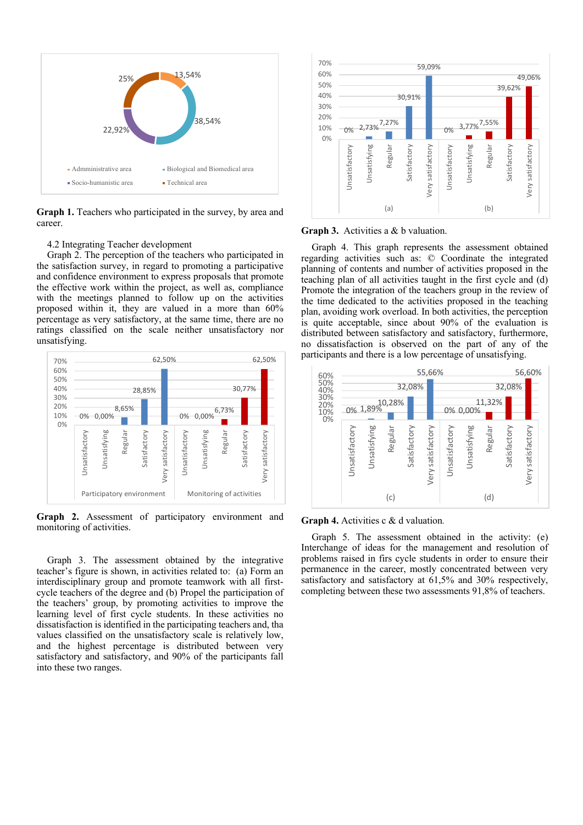

**Graph 1.** Teachers who participated in the survey, by area and career.

#### 4.2 Integrating Teacher development

Graph 2. The perception of the teachers who participated in the satisfaction survey, in regard to promoting a participative and confidence environment to express proposals that promote the effective work within the project, as well as, compliance with the meetings planned to follow up on the activities proposed within it, they are valued in a more than 60% percentage as very satisfactory, at the same time, there are no ratings classified on the scale neither unsatisfactory nor unsatisfying.



**Graph 2.** Assessment of participatory environment and monitoring of activities.

Graph 3. The assessment obtained by the integrative teacher's figure is shown, in activities related to: (a) Form an interdisciplinary group and promote teamwork with all firstcycle teachers of the degree and (b) Propel the participation of the teachers' group, by promoting activities to improve the learning level of first cycle students. In these activities no dissatisfaction is identified in the participating teachers and, tha values classified on the unsatisfactory scale is relatively low, and the highest percentage is distributed between very satisfactory and satisfactory, and 90% of the participants fall into these two ranges.



**Graph 3.** Activities a & b valuation.

Graph 4. This graph represents the assessment obtained regarding activities such as: © Coordinate the integrated planning of contents and number of activities proposed in the teaching plan of all activities taught in the first cycle and (d) Promote the integration of the teachers group in the review of the time dedicated to the activities proposed in the teaching plan, avoiding work overload. In both activities, the perception is quite acceptable, since about 90% of the evaluation is distributed between satisfactory and satisfactory, furthermore, no dissatisfaction is observed on the part of any of the participants and there is a low percentage of unsatisfying.



**Graph 4.** Activities c & d valuation*.*

Graph 5. The assessment obtained in the activity: (e) Interchange of ideas for the management and resolution of problems raised in firs cycle students in order to ensure their permanence in the career, mostly concentrated between very satisfactory and satisfactory at 61,5% and 30% respectively, completing between these two assessments 91,8% of teachers.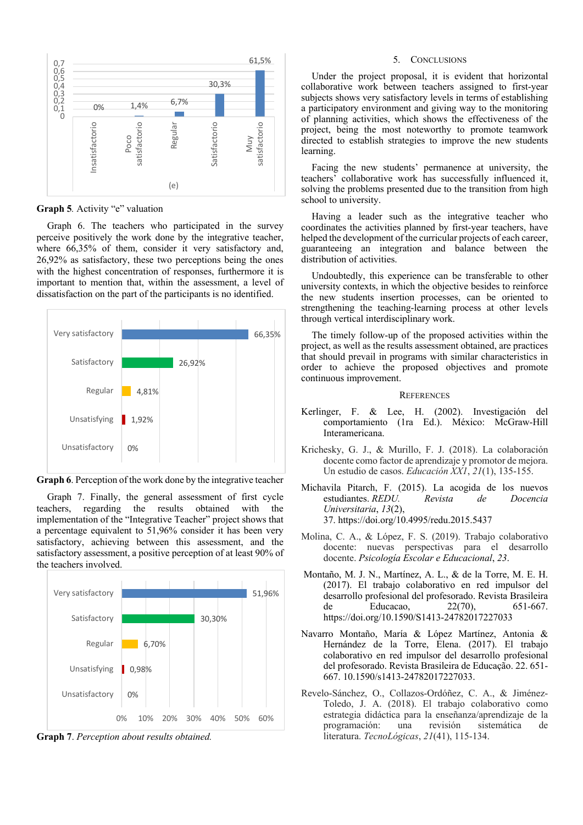

**Graph 5***.* Activity "e" valuation

Graph 6. The teachers who participated in the survey perceive positively the work done by the integrative teacher, where 66,35% of them, consider it very satisfactory and, 26,92% as satisfactory, these two perceptions being the ones with the highest concentration of responses, furthermore it is important to mention that, within the assessment, a level of dissatisfaction on the part of the participants is no identified.



**Graph 6**. Perception of the work done by the integrative teacher

Graph 7. Finally, the general assessment of first cycle teachers, regarding the results obtained with the implementation of the "Integrative Teacher" project shows that a percentage equivalent to 51,96% consider it has been very satisfactory, achieving between this assessment, and the satisfactory assessment, a positive perception of at least 90% of the teachers involved.



**Graph 7**. *Perception about results obtained.*

# 5. CONCLUSIONS

Under the project proposal, it is evident that horizontal collaborative work between teachers assigned to first-year subjects shows very satisfactory levels in terms of establishing a participatory environment and giving way to the monitoring of planning activities, which shows the effectiveness of the project, being the most noteworthy to promote teamwork directed to establish strategies to improve the new students learning.

Facing the new students' permanence at university, the teachers' collaborative work has successfully influenced it, solving the problems presented due to the transition from high school to university.

Having a leader such as the integrative teacher who coordinates the activities planned by first-year teachers, have helped the development of the curricular projects of each career, guaranteeing an integration and balance between the distribution of activities.

Undoubtedly, this experience can be transferable to other university contexts, in which the objective besides to reinforce the new students insertion processes, can be oriented to strengthening the teaching-learning process at other levels through vertical interdisciplinary work.

The timely follow-up of the proposed activities within the project, as well as the results assessment obtained, are practices that should prevail in programs with similar characteristics in order to achieve the proposed objectives and promote continuous improvement.

## **REFERENCES**

- Kerlinger, F. & Lee, H. (2002). Investigación del comportamiento (1ra Ed.). México: McGraw-Hill Interamericana.
- Krichesky, G. J., & Murillo, F. J. (2018). La colaboración docente como factor de aprendizaje y promotor de mejora. Un estudio de casos. *Educación XX1*, *21*(1), 135-155.
- Michavila Pitarch, F. (2015). La acogida de los nuevos<br>estudiantes REDU. Revista de Docencia estudiantes. *REDU*. Revista de *Universitaria*, *13*(2), 37. https://doi.org/10.4995/redu.2015.5437
- Molina, C. A., & López, F. S. (2019). Trabajo colaborativo docente: nuevas perspectivas para el desarrollo docente. *Psicología Escolar e Educacional*, *23*.
- Montaño, M. J. N., Martínez, A. L., & de la Torre, M. E. H. (2017). El trabajo colaborativo en red impulsor del desarrollo profesional del profesorado. Revista Brasileira de Educacao, 22(70), 651-667. https://doi.org/10.1590/S1413-24782017227033
- Navarro Montaño, María & López Martínez, Antonia & Hernández de la Torre, Elena. (2017). El trabajo colaborativo en red impulsor del desarrollo profesional del profesorado. Revista Brasileira de Educação. 22. 651- 667. 10.1590/s1413-24782017227033.
- Revelo-Sánchez, O., Collazos-Ordóñez, C. A., & Jiménez-Toledo, J. A. (2018). El trabajo colaborativo como estrategia didáctica para la enseñanza/aprendizaje de la programación: una revisión sistemática de literatura. *TecnoLógicas*, *21*(41), 115-134.